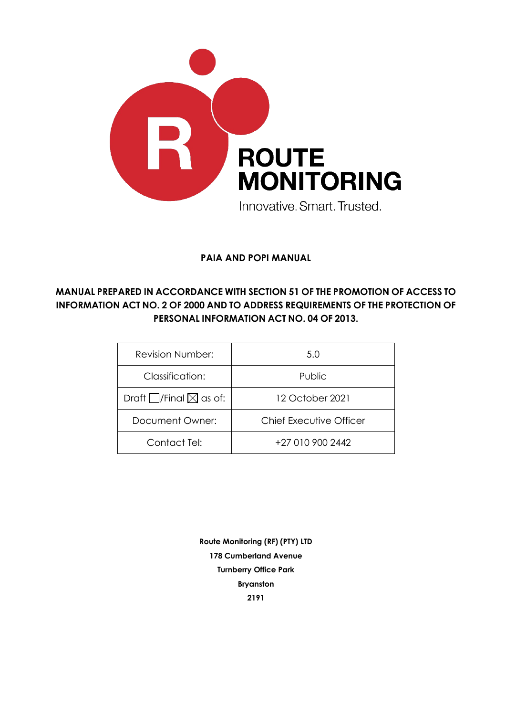

**PAIA AND POPI MANUAL**

## **MANUAL PREPARED IN ACCORDANCE WITH SECTION 51 OF THE PROMOTION OF ACCESS TO INFORMATION ACT NO. 2 OF 2000 AND TO ADDRESS REQUIREMENTS OF THE PROTECTION OF PERSONAL INFORMATION ACT NO. 04 OF 2013.**

| <b>Revision Number:</b>                | 5.0                            |
|----------------------------------------|--------------------------------|
| Classification:                        | Public                         |
| Draft $\Box$ /Final $\boxtimes$ as of: | 12 October 2021                |
| Document Owner:                        | <b>Chief Executive Officer</b> |
| Contact Tel:                           | +27 010 900 2442               |

**Route Monitoring (RF) (PTY) LTD 178 Cumberland Avenue Turnberry Office Park Bryanston 2191**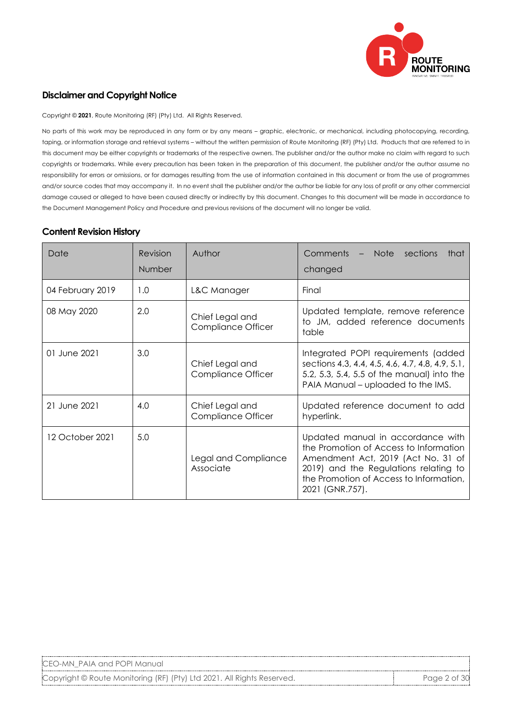

#### **Disclaimer and Copyright Notice**

Copyright © **2021**, Route Monitoring (RF) (Pty) Ltd. All Rights Reserved.

No parts of this work may be reproduced in any form or by any means – graphic, electronic, or mechanical, including photocopying, recording, taping, or information storage and retrieval systems – without the written permission of Route Monitoring (RF) (Pty) Ltd. Products that are referred to in this document may be either copyrights or trademarks of the respective owners. The publisher and/or the author make no claim with regard to such copyrights or trademarks. While every precaution has been taken in the preparation of this document, the publisher and/or the author assume no responsibility for errors or omissions, or for damages resulting from the use of information contained in this document or from the use of programmes and/or source codes that may accompany it. In no event shall the publisher and/or the author be liable for any loss of profit or any other commercial damage caused or alleged to have been caused directly or indirectly by this document. Changes to this document will be made in accordance to the Document Management Policy and Procedure and previous revisions of the document will no longer be valid.

#### **Content Revision History**

| Date             | <b>Revision</b><br>Number | Author                                                                                                                          | Comments<br>Note sections<br>that<br>$-$<br>changed                                                                                                                                                                      |  |  |
|------------------|---------------------------|---------------------------------------------------------------------------------------------------------------------------------|--------------------------------------------------------------------------------------------------------------------------------------------------------------------------------------------------------------------------|--|--|
| 04 February 2019 | 1.0                       | L&C Manager                                                                                                                     | Final                                                                                                                                                                                                                    |  |  |
| 08 May 2020      | 2.0                       | Updated template, remove reference<br>Chief Legal and<br>to JM, added reference documents<br><b>Compliance Officer</b><br>table |                                                                                                                                                                                                                          |  |  |
| 01 June 2021     | 3.0                       | Chief Legal and<br><b>Compliance Officer</b>                                                                                    | Integrated POPI requirements (added<br>sections 4.3, 4.4, 4.5, 4.6, 4.7, 4.8, 4.9, 5.1,<br>5.2, 5.3, 5.4, 5.5 of the manual) into the<br>PAIA Manual – uploaded to the IMS.                                              |  |  |
| 21 June 2021     | 4.0                       | Chief Legal and<br>Compliance Officer                                                                                           | Updated reference document to add<br>hyperlink.                                                                                                                                                                          |  |  |
| 12 October 2021  | 5.0                       | Legal and Compliance<br>Associate                                                                                               | Updated manual in accordance with<br>the Promotion of Access to Information<br>Amendment Act, 2019 (Act No. 31 of<br>2019) and the Regulations relating to<br>the Promotion of Access to Information,<br>2021 (GNR.757). |  |  |

Copyright © Route Monitoring (RF) (Pty) Ltd 2021. All Rights Reserved. Page 2 of 30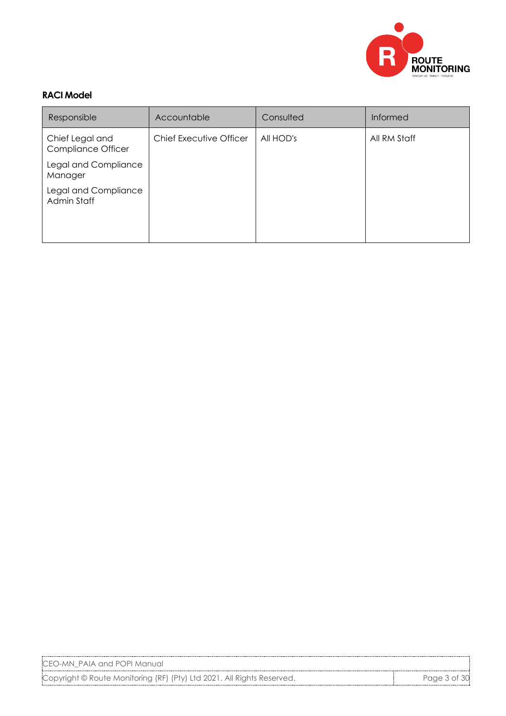

#### **RACI Model**

| Responsible                                  | Accountable             | Consulted | <b>Informed</b> |
|----------------------------------------------|-------------------------|-----------|-----------------|
| Chief Legal and<br><b>Compliance Officer</b> | Chief Executive Officer | All HOD's | All RM Staff    |
| Legal and Compliance<br>Manager              |                         |           |                 |
| Legal and Compliance<br>Admin Staff          |                         |           |                 |

CEO-MN\_PAIA and POPI Manual

Copyright © Route Monitoring (RF) (Pty) Ltd 2021. All Rights Reserved. Page 3 of 30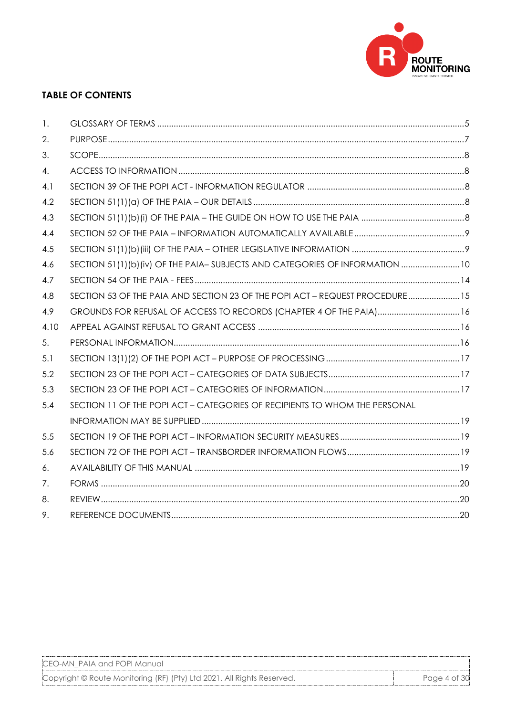

## **TABLE OF CONTENTS**

| 1.   |                                                                              |  |
|------|------------------------------------------------------------------------------|--|
| 2.   |                                                                              |  |
| 3.   |                                                                              |  |
| 4.   |                                                                              |  |
| 4.1  |                                                                              |  |
| 4.2  |                                                                              |  |
| 4.3  |                                                                              |  |
| 4.4  |                                                                              |  |
| 4.5  |                                                                              |  |
| 4.6  | SECTION 51(1)(b)(iv) OF THE PAIA-SUBJECTS AND CATEGORIES OF INFORMATION  10  |  |
| 4.7  |                                                                              |  |
| 4.8  | SECTION 53 OF THE PAIA AND SECTION 23 OF THE POPI ACT - REQUEST PROCEDURE 15 |  |
| 4.9  | GROUNDS FOR REFUSAL OF ACCESS TO RECORDS (CHAPTER 4 OF THE PAIA)16           |  |
| 4.10 |                                                                              |  |
| 5.   |                                                                              |  |
| 5.1  |                                                                              |  |
| 5.2  |                                                                              |  |
| 5.3  |                                                                              |  |
| 5.4  | SECTION 11 OF THE POPI ACT - CATEGORIES OF RECIPIENTS TO WHOM THE PERSONAL   |  |
|      |                                                                              |  |
| 5.5  |                                                                              |  |
| 5.6  |                                                                              |  |
| 6.   |                                                                              |  |
| 7.   |                                                                              |  |
| 8.   |                                                                              |  |
| 9.   |                                                                              |  |

CEO-MN\_PAIA and POPI Manual

Copyright © Route Monitoring (RF) (Pty) Ltd 2021. All Rights Reserved. Page 4 of 30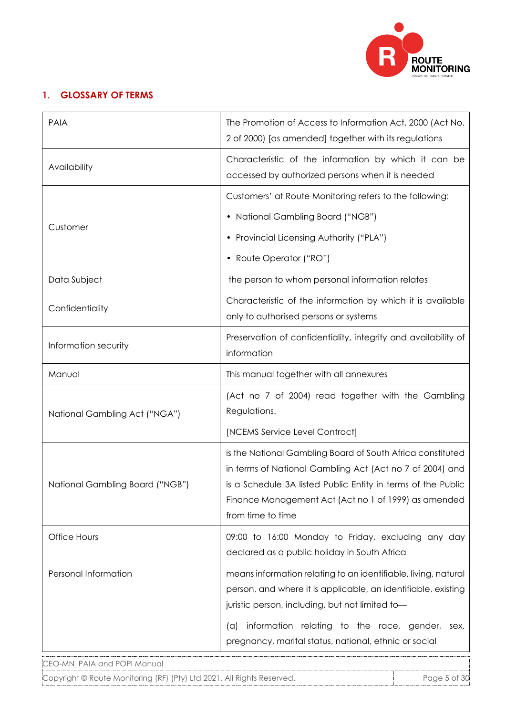

# **1. GLOSSARY OF TERMS**

| <b>PAIA</b>                     | The Promotion of Access to Information Act, 2000 (Act No.<br>2 of 2000) [as amended] together with its regulations                                                                                                                                                  |
|---------------------------------|---------------------------------------------------------------------------------------------------------------------------------------------------------------------------------------------------------------------------------------------------------------------|
| Availability                    | Characteristic of the information by which it can be<br>accessed by authorized persons when it is needed                                                                                                                                                            |
|                                 | Customers' at Route Monitoring refers to the following:                                                                                                                                                                                                             |
|                                 | • National Gambling Board ("NGB")                                                                                                                                                                                                                                   |
| Customer                        | • Provincial Licensing Authority ("PLA")                                                                                                                                                                                                                            |
|                                 | • Route Operator ("RO")                                                                                                                                                                                                                                             |
| Data Subject                    | the person to whom personal information relates                                                                                                                                                                                                                     |
| Confidentiality                 | Characteristic of the information by which it is available<br>only to authorised persons or systems                                                                                                                                                                 |
| Information security            | Preservation of confidentiality, integrity and availability of<br>information                                                                                                                                                                                       |
| Manual                          | This manual together with all annexures                                                                                                                                                                                                                             |
| National Gambling Act ("NGA")   | (Act no 7 of 2004) read together with the Gambling<br>Regulations.                                                                                                                                                                                                  |
|                                 | [NCEMS Service Level Contract]                                                                                                                                                                                                                                      |
| National Gambling Board ("NGB") | is the National Gambling Board of South Africa constituted<br>in terms of National Gambling Act (Act no 7 of 2004) and<br>is a Schedule 3A listed Public Entity in terms of the Public<br>Finance Management Act (Act no 1 of 1999) as amended<br>from time to time |
| Office Hours                    | 09:00 to 16:00 Monday to Friday, excluding any day<br>declared as a public holiday in South Africa                                                                                                                                                                  |
| Personal Information            | means information relating to an identifiable, living, natural<br>person, and where it is applicable, an identifiable, existing<br>juristic person, including, but not limited to-                                                                                  |
|                                 | information relating to the race, gender, sex,<br>$(\alpha)$<br>pregnancy, marital status, national, ethnic or social                                                                                                                                               |
| CEO-MN_PAIA and POPI Manual     |                                                                                                                                                                                                                                                                     |

Copyright © Route Monitoring (RF) (Pty) Ltd 2021. All Rights Reserved. Page 5 of 30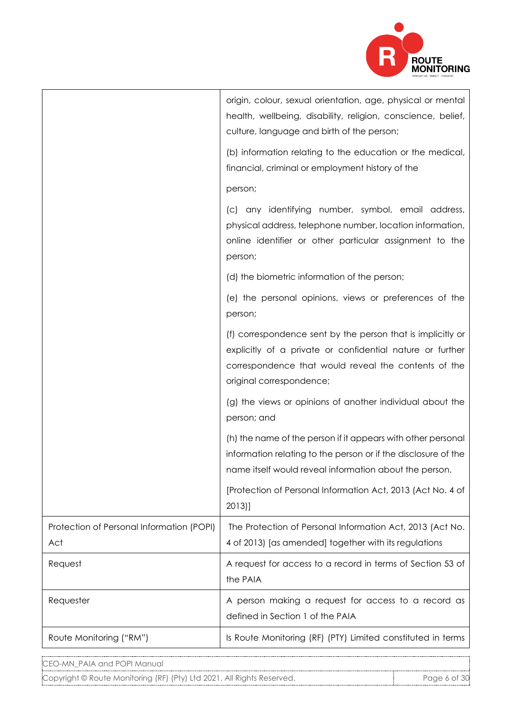

|                                                  | origin, colour, sexual orientation, age, physical or mental<br>health, wellbeing, disability, religion, conscience, belief,<br>culture, language and birth of the person;                                    |
|--------------------------------------------------|--------------------------------------------------------------------------------------------------------------------------------------------------------------------------------------------------------------|
|                                                  | (b) information relating to the education or the medical,<br>financial, criminal or employment history of the                                                                                                |
|                                                  | person;                                                                                                                                                                                                      |
|                                                  | (c) any identifying number, symbol, email address,<br>physical address, telephone number, location information,<br>online identifier or other particular assignment to the<br>person;                        |
|                                                  | (d) the biometric information of the person;                                                                                                                                                                 |
|                                                  | (e) the personal opinions, views or preferences of the<br>person;                                                                                                                                            |
|                                                  | (f) correspondence sent by the person that is implicitly or<br>explicitly of a private or confidential nature or further<br>correspondence that would reveal the contents of the<br>original correspondence; |
|                                                  | (g) the views or opinions of another individual about the<br>person; and                                                                                                                                     |
|                                                  | (h) the name of the person if it appears with other personal<br>information relating to the person or if the disclosure of the<br>name itself would reveal information about the person.                     |
|                                                  | [Protection of Personal Information Act, 2013 (Act No. 4 of<br>$2013$ ]                                                                                                                                      |
| Protection of Personal Information (POPI)<br>Act | The Protection of Personal Information Act, 2013 (Act No.<br>4 of 2013) [as amended] together with its regulations                                                                                           |
| Request                                          | A request for access to a record in terms of Section 53 of<br>the PAIA                                                                                                                                       |
| Requester                                        | A person making a request for access to a record as<br>defined in Section 1 of the PAIA                                                                                                                      |
| Route Monitoring ("RM")                          | Is Route Monitoring (RF) (PTY) Limited constituted in terms                                                                                                                                                  |
|                                                  |                                                                                                                                                                                                              |

Copyright © Route Monitoring (RF) (Pty) Ltd 2021. All Rights Reserved. Page 6 of 30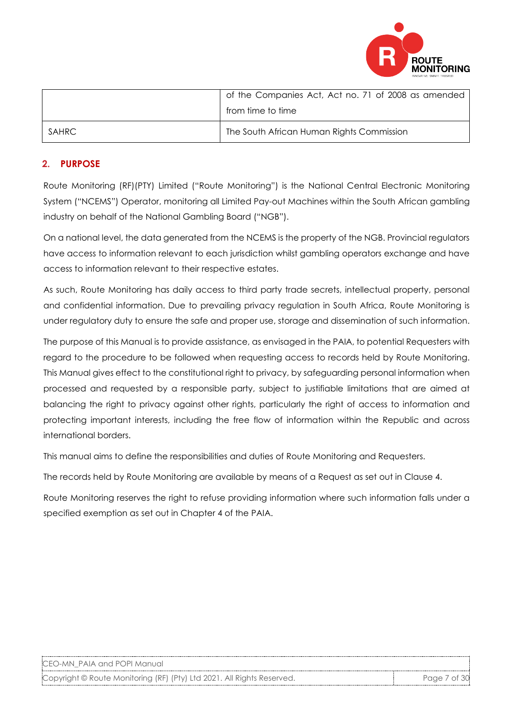

|        | of the Companies Act, Act no. 71 of 2008 as amended |
|--------|-----------------------------------------------------|
|        | from time to time                                   |
| SAHRC. | The South African Human Rights Commission           |

## **2. PURPOSE**

Route Monitoring (RF)(PTY) Limited ("Route Monitoring") is the National Central Electronic Monitoring System ("NCEMS") Operator, monitoring all Limited Pay-out Machines within the South African gambling industry on behalf of the National Gambling Board ("NGB").

On a national level, the data generated from the NCEMS is the property of the NGB. Provincial regulators have access to information relevant to each jurisdiction whilst gambling operators exchange and have access to information relevant to their respective estates.

As such, Route Monitoring has daily access to third party trade secrets, intellectual property, personal and confidential information. Due to prevailing privacy regulation in South Africa, Route Monitoring is under regulatory duty to ensure the safe and proper use, storage and dissemination of such information.

The purpose of this Manual is to provide assistance, as envisaged in the PAIA, to potential Requesters with regard to the procedure to be followed when requesting access to records held by Route Monitoring. This Manual gives effect to the constitutional right to privacy, by safeguarding personal information when processed and requested by a responsible party, subject to justifiable limitations that are aimed at balancing the right to privacy against other rights, particularly the right of access to information and protecting important interests, including the free flow of information within the Republic and across international borders.

This manual aims to define the responsibilities and duties of Route Monitoring and Requesters.

The records held by Route Monitoring are available by means of a Request as set out in Clause 4.

Route Monitoring reserves the right to refuse providing information where such information falls under a specified exemption as set out in Chapter 4 of the PAIA.

| CEO-MN PAIA and POPI Manual |  |
|-----------------------------|--|
|-----------------------------|--|

Copyright © Route Monitoring (RF) (Pty) Ltd 2021. All Rights Reserved. Page 7 of 30 Page 7 of 30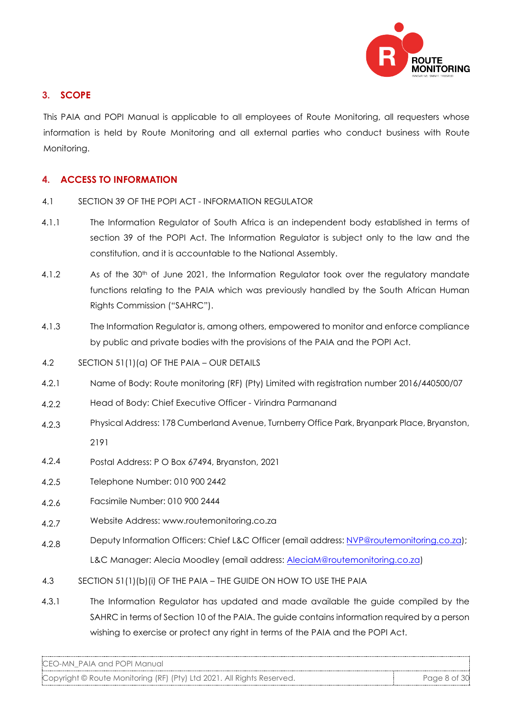

## **3. SCOPE**

This PAIA and POPI Manual is applicable to all employees of Route Monitoring, all requesters whose information is held by Route Monitoring and all external parties who conduct business with Route Monitoring.

### **4. ACCESS TO INFORMATION**

- 4.1 SECTION 39 OF THE POPI ACT INFORMATION REGULATOR
- 4.1.1 The Information Regulator of South Africa is an independent body established in terms of section 39 of the POPI Act. The Information Regulator is subject only to the law and the constitution, and it is accountable to the National Assembly.
- 4.1.2 As of the 30<sup>th</sup> of June 2021, the Information Regulator took over the regulatory mandate functions relating to the PAIA which was previously handled by the South African Human Rights Commission ("SAHRC").
- 4.1.3 The Information Regulator is, among others, empowered to monitor and enforce compliance by public and private bodies with the provisions of the PAIA and the POPI Act.
- 4.2 SECTION 51(1)(a) OF THE PAIA OUR DETAILS
- 4.2.1 Name of Body: Route monitoring (RF) (Pty) Limited with registration number 2016/440500/07
- 422 Head of Body: Chief Executive Officer - Virindra Parmanand
- 4.2.3 Physical Address: 178 Cumberland Avenue, Turnberry Office Park, Bryanpark Place, Bryanston, 2191
- 4.2.4 Postal Address: P O Box 67494, Bryanston, 2021
- 4.2.5 Telephone Number: 010 900 2442
- 4.2.6 Facsimile Number: 010 900 2444
- 4.2.7 Website Address: www.routemonitoring.co.za
- 4.2.8 Deputy Information Officers: Chief L&C Officer (email address: [NVP@routemonitoring.co.za\);](mailto:NVP@routemonitoring.co.za) L&C Manager: Alecia Moodley (email address: [AleciaM@routem](mailto:AleciaM@routemonitoring.co.za)onitoring.co.za)
- 4.3 SECTION 51(1)(b)(i) OF THE PAIA THE GUIDE ON HOW TO USE THE PAIA
- 4.3.1 The Information Regulator has updated and made available the guide compiled by the SAHRC in terms of Section 10 of the PAIA. The guide contains information required by a person wishing to exercise or protect any right in terms of the PAIA and the POPI Act.

CEO-MN\_PAIA and POPI Manual

Copyright © Route Monitoring (RF) (Pty) Ltd 2021. All Rights Reserved. Page 8 of 30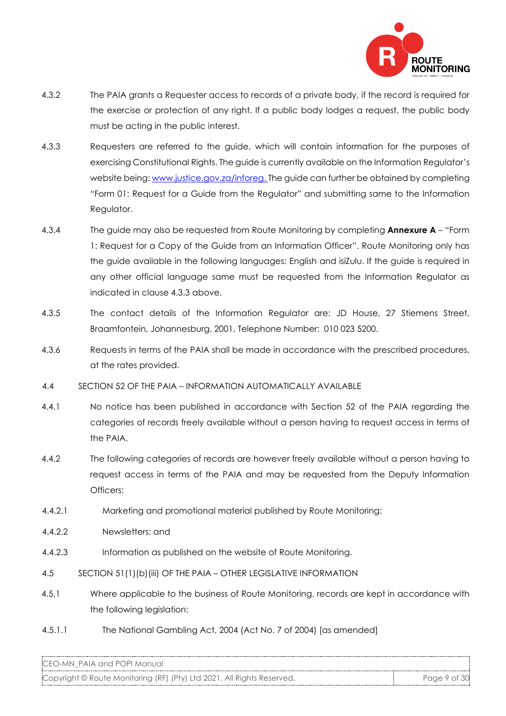

- 4.3.2 The PAIA grants a Requester access to records of a private body, if the record is required for the exercise or protection of any right. If a public body lodges a request, the public body must be acting in the public interest.
- 4.3.3 Requesters are referred to the guide, which will contain information for the purposes of exercising Constitutional Rights. The guide is currently available on the Information Regulator's website being: [www.justice.gov.za/inforeg.](http://www.justice.gov.za/inforeg) The guide can further be obtained by completing "Form 01: Request for a Guide from the Regulator" and submitting same to the Information Regulator.
- 4.3.4 The guide may also be requested from Route Monitoring by completing **Annexure A** "Form 1: Request for a Copy of the Guide from an Information Officer". Route Monitoring only has the guide available in the following languages: English and isiZulu. If the guide is required in any other official language same must be requested from the Information Regulator as indicated in clause 4.3.3 above.
- 4.3.5 The contact details of the Information Regulator are: JD House, 27 Stiemens Street, Braamfontein, Johannesburg, 2001, Telephone Number: 010 023 5200.
- 4.3.6 Requests in terms of the PAIA shall be made in accordance with the prescribed procedures, at the rates provided.
- 4.4 SECTION 52 OF THE PAIA INFORMATION AUTOMATICALLY AVAILABLE
- 4.4.1 No notice has been published in accordance with Section 52 of the PAIA regarding the categories of records freely available without a person having to request access in terms of the PAIA.
- 4.4.2 The following categories of records are however freely available without a person having to request access in terms of the PAIA and may be requested from the Deputy Information Officers:
- 4.4.2.1 Marketing and promotional material published by Route Monitoring;
- 4.4.2.2 Newsletters; and
- 4.4.2.3 Information as published on the website of Route Monitoring.
- 4.5 SECTION 51(1)(b)(iii) OF THE PAIA OTHER LEGISLATIVE INFORMATION
- 4.5.1 Where applicable to the business of Route Monitoring, records are kept in accordance with the following legislation:
- 4.5.1.1 The National Gambling Act, 2004 (Act No. 7 of 2004) [as amended]

Copyright © Route Monitoring (RF) (Pty) Ltd 2021. All Rights Reserved. Page 9 of 30 Page 9 of 30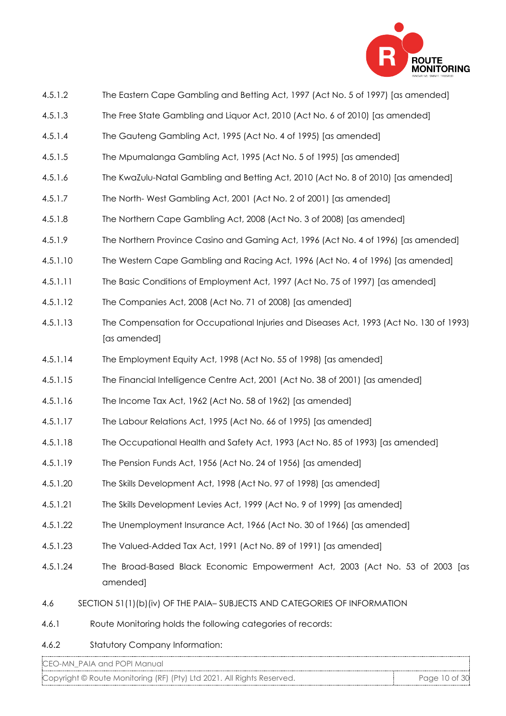

- 4.5.1.2 The Eastern Cape Gambling and Betting Act, 1997 (Act No. 5 of 1997) [as amended]
- 4.5.1.3 The Free State Gambling and Liquor Act, 2010 (Act No. 6 of 2010) [as amended]
- 4.5.1.4 The Gauteng Gambling Act, 1995 (Act No. 4 of 1995) [as amended]
- 4.5.1.5 The Mpumalanga Gambling Act, 1995 (Act No. 5 of 1995) [as amended]
- 4.5.1.6 The KwaZulu-Natal Gambling and Betting Act, 2010 (Act No. 8 of 2010) [as amended]
- 4.5.1.7 The North- West Gambling Act, 2001 (Act No. 2 of 2001) [as amended]
- 4.5.1.8 The Northern Cape Gambling Act, 2008 (Act No. 3 of 2008) [as amended]
- 4.5.1.9 The Northern Province Casino and Gaming Act, 1996 (Act No. 4 of 1996) [as amended]
- 4.5.1.10 The Western Cape Gambling and Racing Act, 1996 (Act No. 4 of 1996) [as amended]
- 4.5.1.11 The Basic Conditions of Employment Act, 1997 (Act No. 75 of 1997) [as amended]
- 4.5.1.12 The Companies Act, 2008 (Act No. 71 of 2008) [as amended]
- 4.5.1.13 The Compensation for Occupational Injuries and Diseases Act, 1993 (Act No. 130 of 1993) [as amended]
- 4.5.1.14 The Employment Equity Act, 1998 (Act No. 55 of 1998) [as amended]
- 4.5.1.15 The Financial Intelligence Centre Act, 2001 (Act No. 38 of 2001) [as amended]
- 4.5.1.16 The Income Tax Act, 1962 (Act No. 58 of 1962) [as amended]
- 4.5.1.17 The Labour Relations Act, 1995 (Act No. 66 of 1995) [as amended]
- 4.5.1.18 The Occupational Health and Safety Act, 1993 (Act No. 85 of 1993) [as amended]
- 4.5.1.19 The Pension Funds Act, 1956 (Act No. 24 of 1956) [as amended]
- 4.5.1.20 The Skills Development Act, 1998 (Act No. 97 of 1998) [as amended]
- 4.5.1.21 The Skills Development Levies Act, 1999 (Act No. 9 of 1999) [as amended]
- 4.5.1.22 The Unemployment Insurance Act, 1966 (Act No. 30 of 1966) [as amended]
- 4.5.1.23 The Valued-Added Tax Act, 1991 (Act No. 89 of 1991) [as amended]
- 4.5.1.24 The Broad-Based Black Economic Empowerment Act, 2003 (Act No. 53 of 2003 [as amended]
- 4.6 SECTION 51(1)(b)(iv) OF THE PAIA– SUBJECTS AND CATEGORIES OF INFORMATION
- 4.6.1 Route Monitoring holds the following categories of records:
- 4.6.2 Statutory Company Information:

Copyright © Route Monitoring (RF) (Pty) Ltd 2021. All Rights Reserved. Page 10 of 30 Page 10 of 30 Page 10 of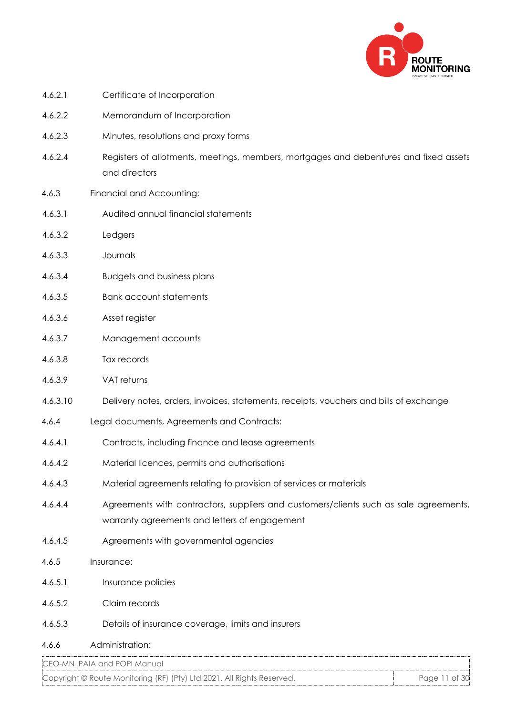

| 4.6.2.1  | Certificate of Incorporation                                                                                                           |
|----------|----------------------------------------------------------------------------------------------------------------------------------------|
| 4.6.2.2  | Memorandum of Incorporation                                                                                                            |
| 4.6.2.3  | Minutes, resolutions and proxy forms                                                                                                   |
| 4.6.2.4  | Registers of allotments, meetings, members, mortgages and debentures and fixed assets<br>and directors                                 |
| 4.6.3    | Financial and Accounting:                                                                                                              |
| 4.6.3.1  | Audited annual financial statements                                                                                                    |
| 4.6.3.2  | Ledgers                                                                                                                                |
| 4.6.3.3  | Journals                                                                                                                               |
| 4.6.3.4  | <b>Budgets and business plans</b>                                                                                                      |
| 4.6.3.5  | <b>Bank account statements</b>                                                                                                         |
| 4.6.3.6  | Asset register                                                                                                                         |
| 4.6.3.7  | Management accounts                                                                                                                    |
| 4.6.3.8  | Tax records                                                                                                                            |
| 4.6.3.9  | VAT returns                                                                                                                            |
| 4.6.3.10 | Delivery notes, orders, invoices, statements, receipts, vouchers and bills of exchange                                                 |
| 4.6.4    | Legal documents, Agreements and Contracts:                                                                                             |
| 4.6.4.1  | Contracts, including finance and lease agreements                                                                                      |
| 4.6.4.2  | Material licences, permits and authorisations                                                                                          |
| 4.6.4.3  | Material agreements relating to provision of services or materials                                                                     |
| 4.6.4.4  | Agreements with contractors, suppliers and customers/clients such as sale agreements,<br>warranty agreements and letters of engagement |
| 4.6.4.5  | Agreements with governmental agencies                                                                                                  |
| 4.6.5    | Insurance:                                                                                                                             |
| 4.6.5.1  | Insurance policies                                                                                                                     |
| 4.6.5.2  | Claim records                                                                                                                          |
| 4.6.5.3  | Details of insurance coverage, limits and insurers                                                                                     |
| 4.6.6    | Administration:                                                                                                                        |
|          | CEO-MN_PAIA and POPI Manual                                                                                                            |

Copyright © Route Monitoring (RF) (Pty) Ltd 2021. All Rights Reserved. Page 11 of 30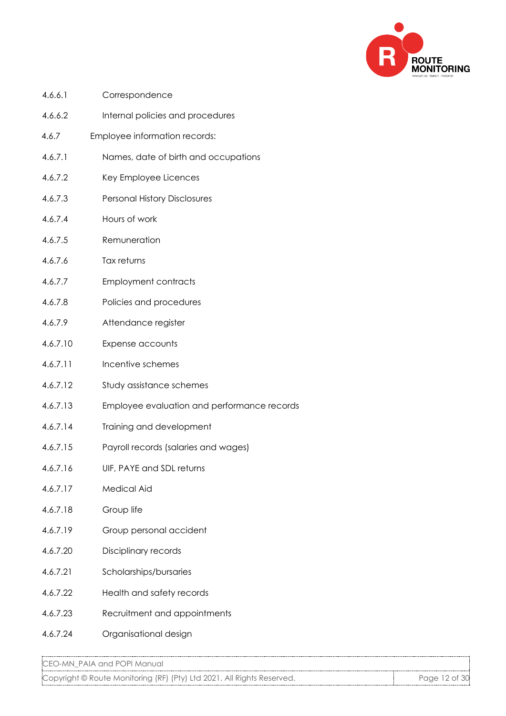

| 4.6.6.1  | Correspondence                              |
|----------|---------------------------------------------|
| 4.6.6.2  | Internal policies and procedures            |
| 4.6.7    | Employee information records:               |
| 4.6.7.1  | Names, date of birth and occupations        |
| 4.6.7.2  | Key Employee Licences                       |
| 4.6.7.3  | <b>Personal History Disclosures</b>         |
| 4.6.7.4  | Hours of work                               |
| 4.6.7.5  | Remuneration                                |
| 4.6.7.6  | Tax returns                                 |
| 4.6.7.7  | <b>Employment contracts</b>                 |
| 4.6.7.8  | Policies and procedures                     |
| 4.6.7.9  | Attendance register                         |
| 4.6.7.10 | Expense accounts                            |
| 4.6.7.11 | Incentive schemes                           |
| 4.6.7.12 | Study assistance schemes                    |
| 4.6.7.13 | Employee evaluation and performance records |
| 4.6.7.14 | Training and development                    |
| 4.6.7.15 | Payroll records (salaries and wages)        |
| 4.6.7.16 | UIF, PAYE and SDL returns                   |
| 4.6.7.17 | <b>Medical Aid</b>                          |
| 4.6.7.18 | Group life                                  |
| 4.6.7.19 | Group personal accident                     |
| 4.6.7.20 | Disciplinary records                        |
| 4.6.7.21 | Scholarships/bursaries                      |
| 4.6.7.22 | Health and safety records                   |
| 4.6.7.23 | Recruitment and appointments                |
| 4.6.7.24 | Organisational design                       |

Copyright © Route Monitoring (RF) (Pty) Ltd 2021. All Rights Reserved. Page 12 of 30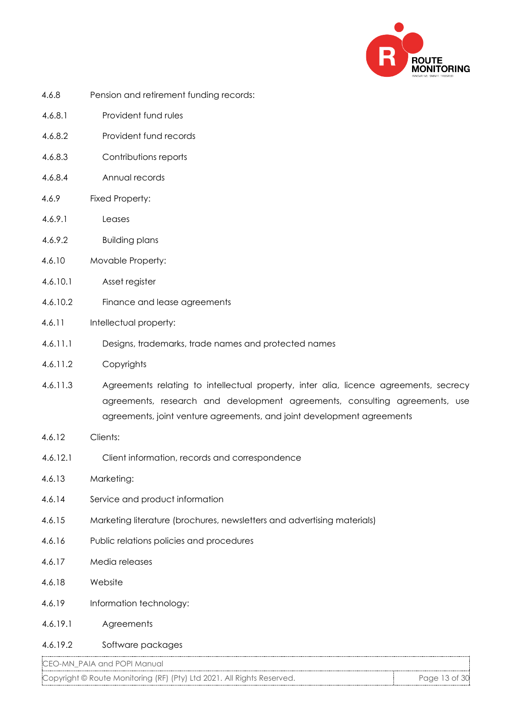

- 4.6.8 Pension and retirement funding records:
- 4.6.8.1 Provident fund rules
- 4.6.8.2 Provident fund records
- 4.6.8.3 Contributions reports
- 4.6.8.4 Annual records
- 4.6.9 Fixed Property:
- 4.6.9.1 Leases
- 4.6.9.2 Building plans
- 4.6.10 Movable Property:
- 4.6.10.1 Asset register
- 4.6.10.2 Finance and lease agreements
- 4.6.11 Intellectual property:
- 4.6.11.1 Designs, trademarks, trade names and protected names
- 4.6.11.2 Copyrights
- 4.6.11.3 Agreements relating to intellectual property, inter alia, licence agreements, secrecy agreements, research and development agreements, consulting agreements, use agreements, joint venture agreements, and joint development agreements
- 4.6.12 Clients:
- 4.6.12.1 Client information, records and correspondence
- 4.6.13 Marketing:
- 4.6.14 Service and product information
- 4.6.15 Marketing literature (brochures, newsletters and advertising materials)
- 4.6.16 Public relations policies and procedures
- 4.6.17 Media releases
- 4.6.18 Website
- 4.6.19 Information technology:
- 4.6.19.1 Agreements

#### 4.6.19.2 Software packages

CEO-MN\_PAIA and POPI Manual

Copyright © Route Monitoring (RF) (Pty) Ltd 2021. All Rights Reserved. Page 13 of 30 Page 13 of 30 Page 13 of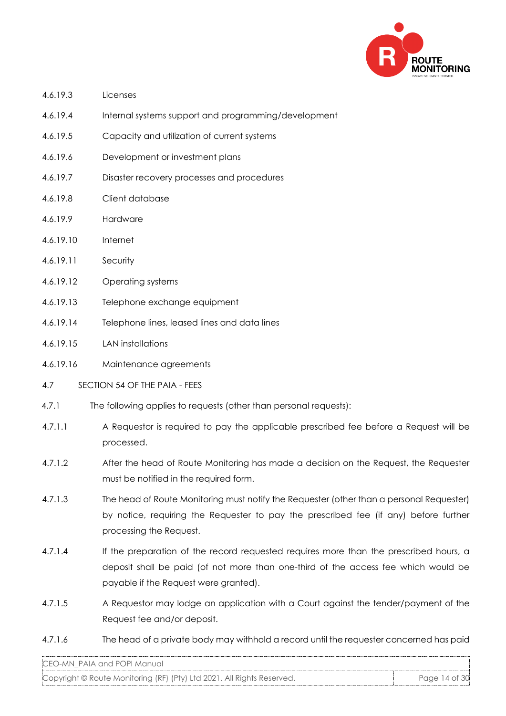

- 4.6.19.3 Licenses
- 4.6.19.4 Internal systems support and programming/development
- 4.6.19.5 Capacity and utilization of current systems
- 4.6.19.6 Development or investment plans
- 4.6.19.7 Disaster recovery processes and procedures
- 4.6.19.8 Client database
- 4.6.19.9 Hardware
- 4.6.19.10 Internet
- 4.6.19.11 Security
- 4.6.19.12 Operating systems
- 4.6.19.13 Telephone exchange equipment
- 4.6.19.14 Telephone lines, leased lines and data lines
- 4.6.19.15 LAN installations
- 4.6.19.16 Maintenance agreements
- 4.7 SECTION 54 OF THE PAIA FEES
- 4.7.1 The following applies to requests (other than personal requests):
- 4.7.1.1 A Requestor is required to pay the applicable prescribed fee before a Request will be processed.
- 4.7.1.2 After the head of Route Monitoring has made a decision on the Request, the Requester must be notified in the required form.
- 4.7.1.3 The head of Route Monitoring must notify the Requester (other than a personal Requester) by notice, requiring the Requester to pay the prescribed fee (if any) before further processing the Request.
- 4.7.1.4 If the preparation of the record requested requires more than the prescribed hours, a deposit shall be paid (of not more than one-third of the access fee which would be payable if the Request were granted).
- 4.7.1.5 A Requestor may lodge an application with a Court against the tender/payment of the Request fee and/or deposit.
- 4.7.1.6 The head of a private body may withhold a record until the requester concerned has paid

Copyright © Route Monitoring (RF) (Pty) Ltd 2021. All Rights Reserved. Page 14 of 30 Page 14 of 30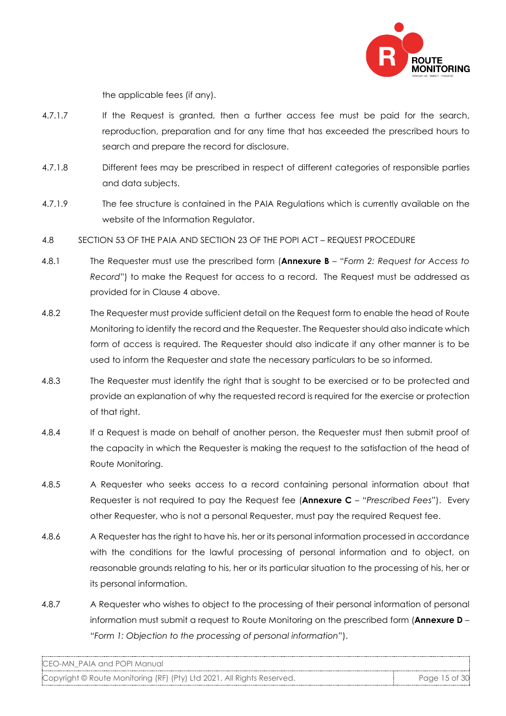

the applicable fees (if any).

- 4.7.1.7 If the Request is granted, then a further access fee must be paid for the search, reproduction, preparation and for any time that has exceeded the prescribed hours to search and prepare the record for disclosure.
- 4.7.1.8 Different fees may be prescribed in respect of different categories of responsible parties and data subjects.
- 4.7.1.9 The fee structure is contained in the PAIA Regulations which is currently available on the website of the Information Regulator.
- 4.8 SECTION 53 OF THE PAIA AND SECTION 23 OF THE POPI ACT REQUEST PROCEDURE
- 4.8.1 The Requester must use the prescribed form (**Annexure B** "*Form 2: Request for Access to Record*") to make the Request for access to a record. The Request must be addressed as provided for in Clause 4 above.
- 4.8.2 The Requester must provide sufficient detail on the Request form to enable the head of Route Monitoring to identify the record and the Requester. The Requester should also indicate which form of access is required. The Requester should also indicate if any other manner is to be used to inform the Requester and state the necessary particulars to be so informed.
- 4.8.3 The Requester must identify the right that is sought to be exercised or to be protected and provide an explanation of why the requested record is required for the exercise or protection of that right.
- 4.8.4 If a Request is made on behalf of another person, the Requester must then submit proof of the capacity in which the Requester is making the request to the satisfaction of the head of Route Monitoring.
- 4.8.5 A Requester who seeks access to a record containing personal information about that Requester is not required to pay the Request fee (**Annexure C** – "*Prescribed Fees*"). Every other Requester, who is not a personal Requester, must pay the required Request fee.
- 4.8.6 A Requester has the right to have his, her or its personal information processed in accordance with the conditions for the lawful processing of personal information and to object, on reasonable grounds relating to his, her or its particular situation to the processing of his, her or its personal information.
- 4.8.7 A Requester who wishes to object to the processing of their personal information of personal information must submit a request to Route Monitoring on the prescribed form (**Annexure D** – "*Form 1: Objection to the processing of personal information*").

CEO-MN\_PAIA and POPI Manual

Copyright © Route Monitoring (RF) (Pty) Ltd 2021. All Rights Reserved. Page 15 of 30 Page 15 of 30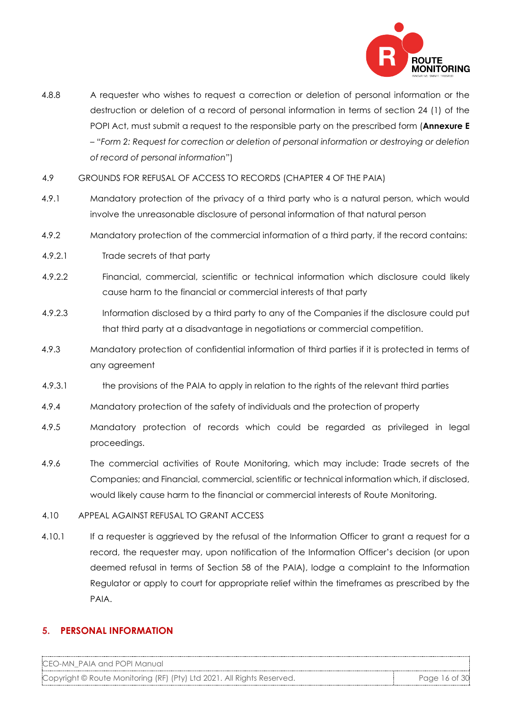

- 4.8.8 A requester who wishes to request a correction or deletion of personal information or the destruction or deletion of a record of personal information in terms of section 24 (1) of the POPI Act, must submit a request to the responsible party on the prescribed form (**Annexure E** – "*Form 2: Request for correction or deletion of personal information or destroying or deletion of record of personal information*")
- 4.9 GROUNDS FOR REFUSAL OF ACCESS TO RECORDS (CHAPTER 4 OF THE PAIA)
- 4.9.1 Mandatory protection of the privacy of a third party who is a natural person, which would involve the unreasonable disclosure of personal information of that natural person
- 4.9.2 Mandatory protection of the commercial information of a third party, if the record contains:
- 4.9.2.1 Trade secrets of that party
- 4.9.2.2 Financial, commercial, scientific or technical information which disclosure could likely cause harm to the financial or commercial interests of that party
- 4.9.2.3 Information disclosed by a third party to any of the Companies if the disclosure could put that third party at a disadvantage in negotiations or commercial competition.
- 4.9.3 Mandatory protection of confidential information of third parties if it is protected in terms of any agreement
- 4.9.3.1 the provisions of the PAIA to apply in relation to the rights of the relevant third parties
- 4.9.4 Mandatory protection of the safety of individuals and the protection of property
- 4.9.5 Mandatory protection of records which could be regarded as privileged in legal proceedings.
- 4.9.6 The commercial activities of Route Monitoring, which may include: Trade secrets of the Companies; and Financial, commercial, scientific or technical information which, if disclosed, would likely cause harm to the financial or commercial interests of Route Monitoring.
- 4.10 APPEAL AGAINST REFUSAL TO GRANT ACCESS
- 4.10.1 If a requester is aggrieved by the refusal of the Information Officer to grant a request for a record, the requester may, upon notification of the Information Officer's decision (or upon deemed refusal in terms of Section 58 of the PAIA), lodge a complaint to the Information Regulator or apply to court for appropriate relief within the timeframes as prescribed by the PAIA.

#### **5. PERSONAL INFORMATION**

CEO-MN\_PAIA and POPI Manual Copyright © Route Monitoring (RF) (Pty) Ltd 2021. All Rights Reserved. Page 16 of 30 Page 16 of 30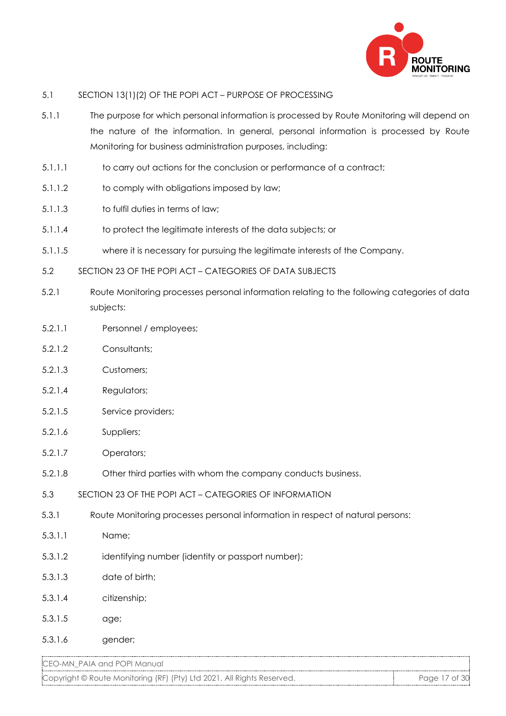

#### 5.1 SECTION 13(1)(2) OF THE POPI ACT – PURPOSE OF PROCESSING

- 5.1.1 The purpose for which personal information is processed by Route Monitoring will depend on the nature of the information. In general, personal information is processed by Route Monitoring for business administration purposes, including:
- 5.1.1.1 to carry out actions for the conclusion or performance of a contract;
- 5.1.1.2 to comply with obligations imposed by law;
- 5.1.1.3 to fulfil duties in terms of law;
- 5.1.1.4 to protect the legitimate interests of the data subjects; or
- 5.1.1.5 where it is necessary for pursuing the legitimate interests of the Company.
- 5.2 SECTION 23 OF THE POPI ACT CATEGORIES OF DATA SUBJECTS
- 5.2.1 Route Monitoring processes personal information relating to the following categories of data subjects:
- 5.2.1.1 Personnel / employees;
- 5.2.1.2 Consultants;
- 5.2.1.3 Customers;
- 5.2.1.4 Regulators;
- 5.2.1.5 Service providers;
- 5.2.1.6 Suppliers;
- 5.2.1.7 Operators;
- 5.2.1.8 Other third parties with whom the company conducts business.
- 5.3 SECTION 23 OF THE POPI ACT CATEGORIES OF INFORMATION
- 5.3.1 Route Monitoring processes personal information in respect of natural persons:
- 5.3.1.1 Name;
- 5.3.1.2 identifying number (identity or passport number);
- 5.3.1.3 date of birth;
- 5.3.1.4 citizenship;
- 5.3.1.5 age;
- 5.3.1.6 gender;

CEO-MN\_PAIA and POPI Manual

Copyright © Route Monitoring (RF) (Pty) Ltd 2021. All Rights Reserved. Page 17 of 30 Page 17 of 30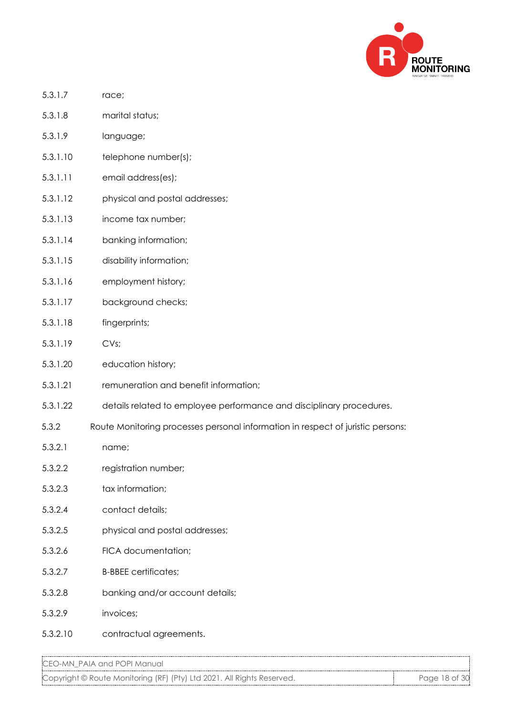

- 5.3.1.7 race;
- 5.3.1.8 marital status;
- 5.3.1.9 language;
- 5.3.1.10 telephone number(s);
- 5.3.1.11 email address(es);
- 5.3.1.12 physical and postal addresses;
- 5.3.1.13 income tax number;
- 5.3.1.14 banking information;
- 5.3.1.15 disability information;
- 5.3.1.16 employment history;
- 5.3.1.17 background checks;
- 5.3.1.18 fingerprints;
- 5.3.1.19 CVs;
- 5.3.1.20 education history;
- 5.3.1.21 remuneration and benefit information;
- 5.3.1.22 details related to employee performance and disciplinary procedures.
- 5.3.2 Route Monitoring processes personal information in respect of juristic persons:
- 5.3.2.1 name;
- 5.3.2.2 registration number;
- 5.3.2.3 tax information;
- 5.3.2.4 contact details;
- 5.3.2.5 physical and postal addresses;
- 5.3.2.6 FICA documentation;
- 5.3.2.7 B-BBEE certificates;
- 5.3.2.8 banking and/or account details;
- 5.3.2.9 invoices;
- 5.3.2.10 contractual agreements.

Copyright © Route Monitoring (RF) (Pty) Ltd 2021. All Rights Reserved. Page 18 of 30 Page 18 of 30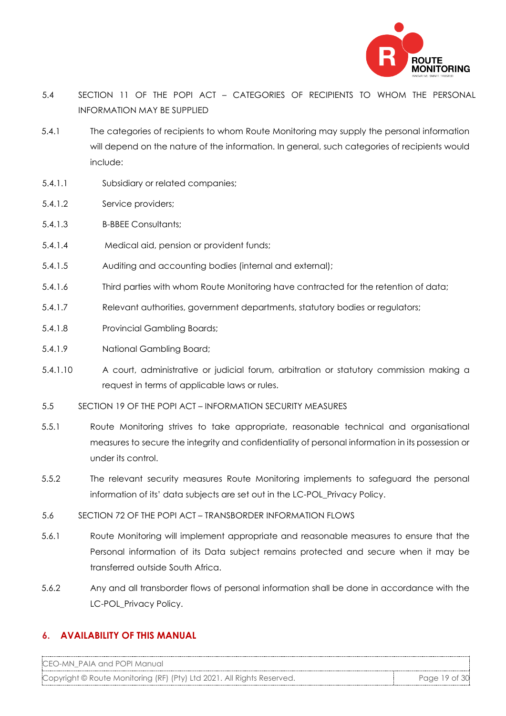

- 5.4 SECTION 11 OF THE POPI ACT CATEGORIES OF RECIPIENTS TO WHOM THE PERSONAL INFORMATION MAY BE SUPPLIED
- 5.4.1 The categories of recipients to whom Route Monitoring may supply the personal information will depend on the nature of the information. In general, such categories of recipients would include:
- 5.4.1.1 Subsidiary or related companies;
- 5.4.1.2 Service providers;
- 5.4.1.3 B-BBEE Consultants;
- 5.4.1.4 Medical aid, pension or provident funds;
- 5.4.1.5 Auditing and accounting bodies (internal and external);
- 5.4.1.6 Third parties with whom Route Monitoring have contracted for the retention of data;
- 5.4.1.7 Relevant authorities, government departments, statutory bodies or regulators;
- 5.4.1.8 Provincial Gambling Boards;
- 5.4.1.9 National Gambling Board;
- 5.4.1.10 A court, administrative or judicial forum, arbitration or statutory commission making a request in terms of applicable laws or rules.
- 5.5 SECTION 19 OF THE POPI ACT INFORMATION SECURITY MEASURES
- 5.5.1 Route Monitoring strives to take appropriate, reasonable technical and organisational measures to secure the integrity and confidentiality of personal information in its possession or under its control.
- 5.5.2 The relevant security measures Route Monitoring implements to safeguard the personal information of its' data subjects are set out in the LC-POL\_Privacy Policy.
- 5.6 SECTION 72 OF THE POPI ACT TRANSBORDER INFORMATION FLOWS
- 5.6.1 Route Monitoring will implement appropriate and reasonable measures to ensure that the Personal information of its Data subject remains protected and secure when it may be transferred outside South Africa.
- 5.6.2 Any and all transborder flows of personal information shall be done in accordance with the LC-POL\_Privacy Policy.

#### **6. AVAILABILITY OF THIS MANUAL**

CEO-MN\_PAIA and POPI Manual

Copyright © Route Monitoring (RF) (Pty) Ltd 2021. All Rights Reserved. Page 19 of 30 Page 19 of 30 Page 19 of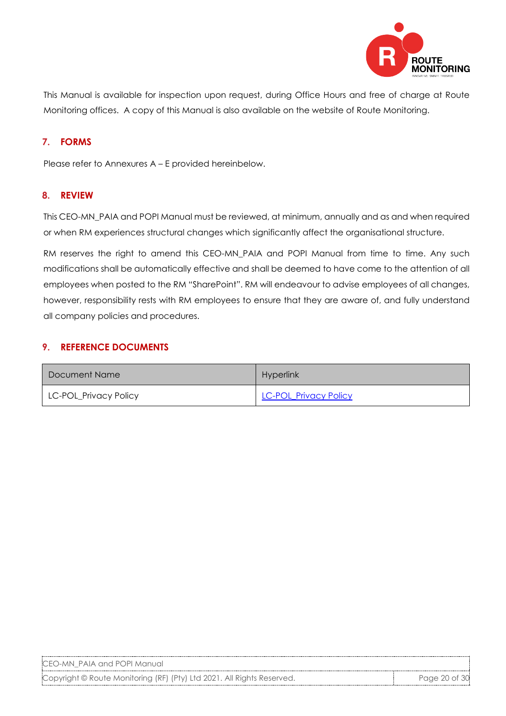

This Manual is available for inspection upon request, during Office Hours and free of charge at Route Monitoring offices. A copy of this Manual is also available on the website of Route Monitoring.

## **7. FORMS**

Please refer to Annexures A – E provided hereinbelow.

## **8. REVIEW**

This CEO-MN\_PAIA and POPI Manual must be reviewed, at minimum, annually and as and when required or when RM experiences structural changes which significantly affect the organisational structure.

RM reserves the right to amend this CEO-MN\_PAIA and POPI Manual from time to time. Any such modifications shall be automatically effective and shall be deemed to have come to the attention of all employees when posted to the RM "SharePoint". RM will endeavour to advise employees of all changes, however, responsibility rests with RM employees to ensure that they are aware of, and fully understand all company policies and procedures.

#### **9. REFERENCE DOCUMENTS**

| Document Name         | <b>Hyperlink</b>      |
|-----------------------|-----------------------|
| LC-POL_Privacy Policy | LC-POL_Privacy Policy |

CEO-MN\_PAIA and POPI Manual

Copyright © Route Monitoring (RF) (Pty) Ltd 2021. All Rights Reserved. Page 20 of 30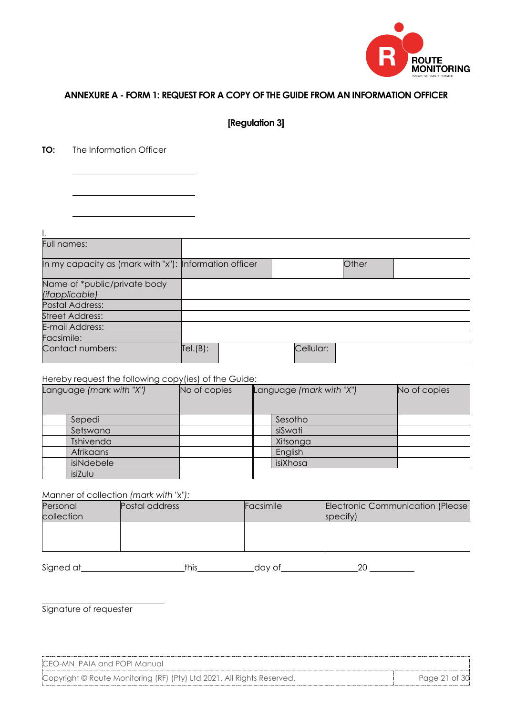

#### **ANNEXURE A - FORM 1: REQUEST FOR A COPY OF THE GUIDE FROM AN INFORMATION OFFICER**

**[Regulation 3]**

**TO:** The Information Officer

| Full names:                                            |         |  |           |       |  |
|--------------------------------------------------------|---------|--|-----------|-------|--|
| In my capacity as (mark with "x"): Information officer |         |  |           | Other |  |
| Name of *public/private body<br>(ifapplicable)         |         |  |           |       |  |
| Postal Address:                                        |         |  |           |       |  |
| <b>Street Address:</b>                                 |         |  |           |       |  |
| E-mail Address:                                        |         |  |           |       |  |
| Facsimile:                                             |         |  |           |       |  |
| Contact numbers:                                       | Tel(B): |  | Cellular: |       |  |

#### Hereby request the following copy(ies) of the Guide:

| Language (mark with "X") |            | No of copies | Language (mark with "X") |          | No of copies |
|--------------------------|------------|--------------|--------------------------|----------|--------------|
|                          | Sepedi     |              |                          | Sesotho  |              |
|                          | Setswana   |              |                          | siSwati  |              |
|                          | Tshivenda  |              |                          | Xitsonga |              |
|                          | Afrikaans  |              |                          | English  |              |
|                          | isiNdebele |              |                          | isiXhosa |              |
|                          | isiZulu    |              |                          |          |              |

#### Manner of collection *(mark with "x"):*

| Personal<br>collection | Postal address | Facsimile | Electronic Communication (Please)<br>specify) |
|------------------------|----------------|-----------|-----------------------------------------------|
|                        |                |           |                                               |
|                        |                |           |                                               |
|                        |                |           |                                               |

Signed at this this day of 20

Signature of requester

CEO-MN\_PAIA and POPI Manual Copyright © Route Monitoring (RF) (Pty) Ltd 2021. All Rights Reserved. Page 21 of 30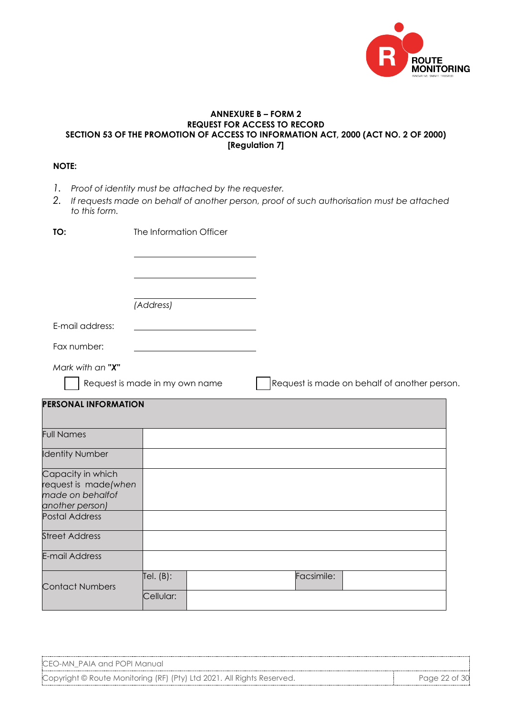

#### **ANNEXURE B – FORM 2 REQUEST FOR ACCESS TO RECORD SECTION 53 OF THE PROMOTION OF ACCESS TO INFORMATION ACT, 2000 (ACT NO. 2 OF 2000) [Regulation 7]**

### **NOTE:**

- *1. Proof of identity must be attached by the requester.*
- *2. If requests made on behalf of another person, proof of such authorisation must be attached to this form.*

| TO:                                                                              | The Information Officer        |                                              |
|----------------------------------------------------------------------------------|--------------------------------|----------------------------------------------|
|                                                                                  |                                |                                              |
|                                                                                  | (Address)                      |                                              |
| E-mail address:                                                                  |                                |                                              |
| Fax number:                                                                      |                                |                                              |
| Mark with an "X"                                                                 | Request is made in my own name | Request is made on behalf of another person. |
| <b>PERSONAL INFORMATION</b>                                                      |                                |                                              |
| <b>Full Names</b>                                                                |                                |                                              |
| <b>Identity Number</b>                                                           |                                |                                              |
| Capacity in which<br>request is made(when<br>made on behalfof<br>another person) |                                |                                              |
| <b>Postal Address</b>                                                            |                                |                                              |
| <b>Street Address</b>                                                            |                                |                                              |
| <b>E-mail Address</b>                                                            |                                |                                              |
| <b>Contact Numbers</b>                                                           | Tel. $(B)$ :<br>Cellular:      | Facsimile:                                   |

| CEO-MN PAIA and POPI Manual                                            |               |
|------------------------------------------------------------------------|---------------|
| Copyright © Route Monitoring (RF) (Pty) Ltd 2021. All Rights Reserved. | Page 22 of 30 |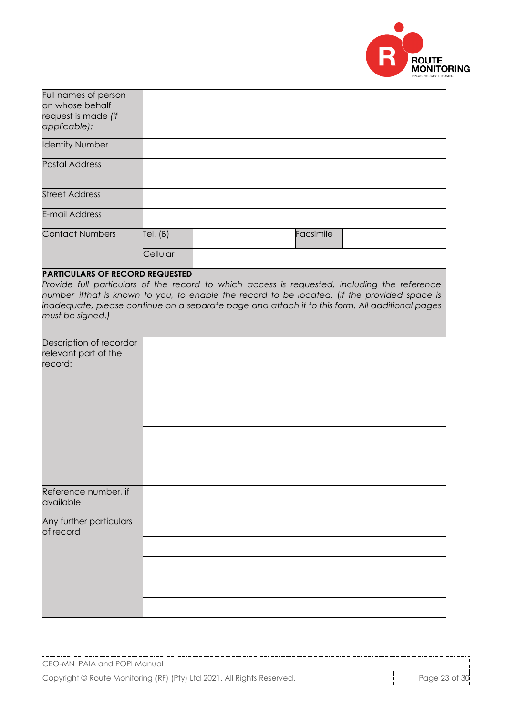

| Full names of person                   |            |                                                                                                 |           |  |
|----------------------------------------|------------|-------------------------------------------------------------------------------------------------|-----------|--|
| on whose behalf                        |            |                                                                                                 |           |  |
| request is made (if                    |            |                                                                                                 |           |  |
|                                        |            |                                                                                                 |           |  |
| applicable):                           |            |                                                                                                 |           |  |
| <b>Identity Number</b>                 |            |                                                                                                 |           |  |
| <b>Postal Address</b>                  |            |                                                                                                 |           |  |
| <b>Street Address</b>                  |            |                                                                                                 |           |  |
| <b>E-mail Address</b>                  |            |                                                                                                 |           |  |
| <b>Contact Numbers</b>                 | Tel. $(B)$ |                                                                                                 | Facsimile |  |
|                                        | Cellular   |                                                                                                 |           |  |
| <b>PARTICULARS OF RECORD REQUESTED</b> |            |                                                                                                 |           |  |
|                                        |            | Provide full particulars of the record to which access is requested, including the reference    |           |  |
|                                        |            |                                                                                                 |           |  |
|                                        |            | number ifthat is known to you, to enable the record to be located. (If the provided space is    |           |  |
|                                        |            | inadequate, please continue on a separate page and attach it to this form. All additional pages |           |  |
| must be signed.)                       |            |                                                                                                 |           |  |
|                                        |            |                                                                                                 |           |  |
| Description of recordor                |            |                                                                                                 |           |  |
| relevant part of the                   |            |                                                                                                 |           |  |
| record:                                |            |                                                                                                 |           |  |
|                                        |            |                                                                                                 |           |  |
|                                        |            |                                                                                                 |           |  |
|                                        |            |                                                                                                 |           |  |
|                                        |            |                                                                                                 |           |  |
|                                        |            |                                                                                                 |           |  |
|                                        |            |                                                                                                 |           |  |
|                                        |            |                                                                                                 |           |  |
| Reference number, if                   |            |                                                                                                 |           |  |
| available                              |            |                                                                                                 |           |  |
| Any further particulars                |            |                                                                                                 |           |  |
| of record                              |            |                                                                                                 |           |  |
|                                        |            |                                                                                                 |           |  |
|                                        |            |                                                                                                 |           |  |
|                                        |            |                                                                                                 |           |  |
|                                        |            |                                                                                                 |           |  |

Copyright © Route Monitoring (RF) (Pty) Ltd 2021. All Rights Reserved. Page 23 of 30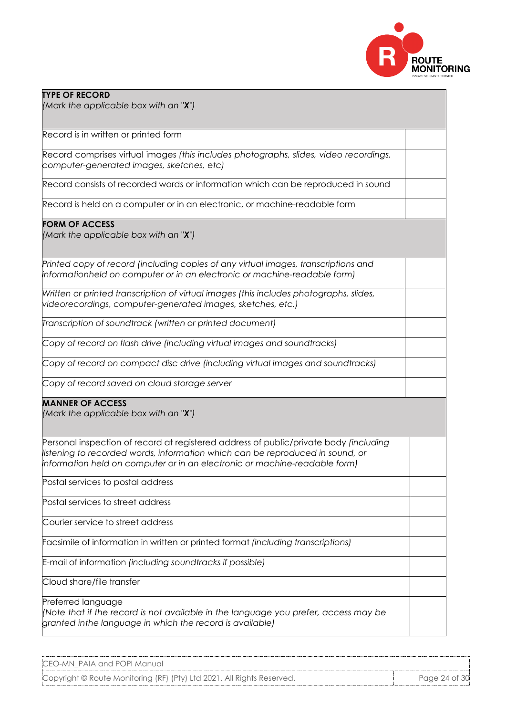

| <b>TYPE OF RECORD</b><br>(Mark the applicable box with an "X")                                                                                                                                                                                       |  |
|------------------------------------------------------------------------------------------------------------------------------------------------------------------------------------------------------------------------------------------------------|--|
| Record is in written or printed form                                                                                                                                                                                                                 |  |
| Record comprises virtual images (this includes photographs, slides, video recordings,<br>computer-generated images, sketches, etc)                                                                                                                   |  |
| Record consists of recorded words or information which can be reproduced in sound                                                                                                                                                                    |  |
| Record is held on a computer or in an electronic, or machine-readable form                                                                                                                                                                           |  |
| <b>FORM OF ACCESS</b><br>(Mark the applicable box with an "X")                                                                                                                                                                                       |  |
| Printed copy of record (including copies of any virtual images, transcriptions and<br>informationheld on computer or in an electronic or machine-readable form)                                                                                      |  |
| Written or printed transcription of virtual images (this includes photographs, slides,<br>videorecordings, computer-generated images, sketches, etc.)                                                                                                |  |
| Transcription of soundtrack (written or printed document)                                                                                                                                                                                            |  |
| Copy of record on flash drive (including virtual images and soundtracks)                                                                                                                                                                             |  |
| Copy of record on compact disc drive (including virtual images and soundtracks)                                                                                                                                                                      |  |
| Copy of record saved on cloud storage server                                                                                                                                                                                                         |  |
| <b>MANNER OF ACCESS</b><br>(Mark the applicable box with an " $X$ ")                                                                                                                                                                                 |  |
| Personal inspection of record at registered address of public/private body (including<br>listening to recorded words, information which can be reproduced in sound, or<br>information held on computer or in an electronic or machine-readable form) |  |
| Postal services to postal address                                                                                                                                                                                                                    |  |
| Postal services to street address                                                                                                                                                                                                                    |  |
| Courier service to street address                                                                                                                                                                                                                    |  |
| Facsimile of information in written or printed format (including transcriptions)                                                                                                                                                                     |  |
| E-mail of information (including soundtracks if possible)                                                                                                                                                                                            |  |
| Cloud share/file transfer                                                                                                                                                                                                                            |  |
| Preferred language<br>(Note that if the record is not available in the language you prefer, access may be<br>granted inthe language in which the record is available)                                                                                |  |

Copyright © Route Monitoring (RF) (Pty) Ltd 2021. All Rights Reserved. Page 24 of 30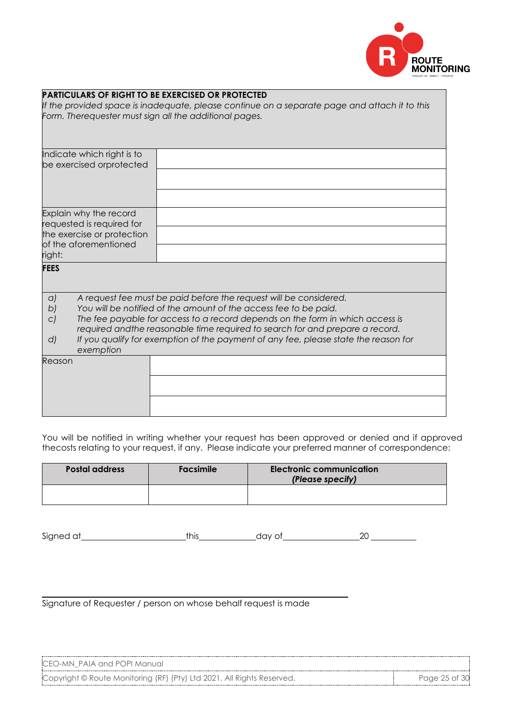

|             |                                                     | <b>PARTICULARS OF RIGHT TO BE EXERCISED OR PROTECTED</b><br>If the provided space is inadequate, please continue on a separate page and attach it to this<br>Form. Therequester must sign all the additional pages.                |
|-------------|-----------------------------------------------------|------------------------------------------------------------------------------------------------------------------------------------------------------------------------------------------------------------------------------------|
|             | Indicate which right is to                          |                                                                                                                                                                                                                                    |
|             | be exercised orprotected                            |                                                                                                                                                                                                                                    |
|             |                                                     |                                                                                                                                                                                                                                    |
|             |                                                     |                                                                                                                                                                                                                                    |
|             | Explain why the record<br>requested is required for |                                                                                                                                                                                                                                    |
|             | the exercise or protection                          |                                                                                                                                                                                                                                    |
| right:      | of the aforementioned                               |                                                                                                                                                                                                                                    |
| <b>FEES</b> |                                                     |                                                                                                                                                                                                                                    |
| a)          |                                                     | A request fee must be paid before the request will be considered.                                                                                                                                                                  |
| b)<br>C)    |                                                     | You will be notified of the amount of the access fee to be paid.<br>The fee payable for access to a record depends on the form in which access is<br>required and the reasonable time required to search for and prepare a record. |
| d           | exemption                                           | If you qualify for exemption of the payment of any fee, please state the reason for                                                                                                                                                |
| Reason      |                                                     |                                                                                                                                                                                                                                    |
|             |                                                     |                                                                                                                                                                                                                                    |
|             |                                                     |                                                                                                                                                                                                                                    |
|             |                                                     |                                                                                                                                                                                                                                    |

You will be notified in writing whether your request has been approved or denied and if approved thecosts relating to your request, if any. Please indicate your preferred manner of correspondence:

| <b>Postal address</b> | <b>Facsimile</b> | Electronic communication<br>(Please specify) |
|-----------------------|------------------|----------------------------------------------|
|                       |                  |                                              |

| Signed<br>~+<br>$\sim$<br>. | $\cdot$ $\cdot$<br>11 | זו |
|-----------------------------|-----------------------|----|
|-----------------------------|-----------------------|----|

Signature of Requester / person on whose behalf request is made

| CEO-MN PAIA and POPI Manual |  |
|-----------------------------|--|
|-----------------------------|--|

Copyright © Route Monitoring (RF) (Pty) Ltd 2021. All Rights Reserved. Page 25 of 30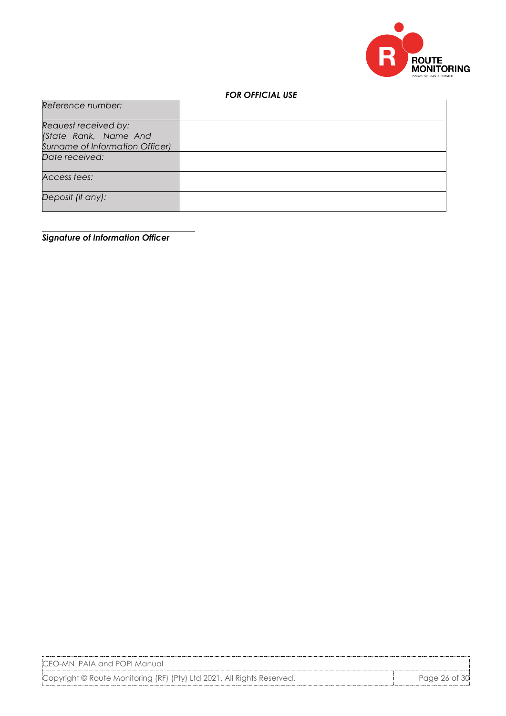

#### *FOR OFFICIAL USE*

| Reference number:                             |  |
|-----------------------------------------------|--|
| Request received by:<br>(State Rank, Name And |  |
| Surname of Information Officer)               |  |
| Date received:                                |  |
| Access fees:                                  |  |
| Deposit (if any):                             |  |

*Signature of Information Officer*

CEO-MN\_PAIA and POPI Manual

Copyright © Route Monitoring (RF) (Pty) Ltd 2021. All Rights Reserved. Page 26 of 30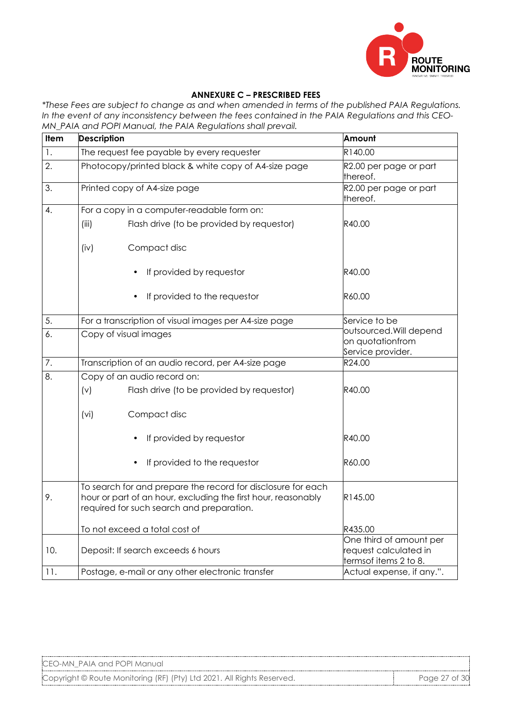

#### **ANNEXURE C – PRESCRIBED FEES**

*\*These Fees are subject to change as and when amended in terms of the published PAIA Regulations. In the event of any inconsistency between the fees contained in the PAIA Regulations and this CEO-MN\_PAIA and POPI Manual, the PAIA Regulations shall prevail.* 

| <b>Item</b> | <b>Description</b>                                                                                                                                                         | Amount                                                                            |  |
|-------------|----------------------------------------------------------------------------------------------------------------------------------------------------------------------------|-----------------------------------------------------------------------------------|--|
| 1.          | The request fee payable by every requester                                                                                                                                 | R140.00                                                                           |  |
| 2.          | Photocopy/printed black & white copy of A4-size page                                                                                                                       | R2.00 per page or part<br>thereof.                                                |  |
| 3.          | Printed copy of A4-size page                                                                                                                                               | R2.00 per page or part<br>thereof.                                                |  |
| 4.          | For a copy in a computer-readable form on:                                                                                                                                 |                                                                                   |  |
|             | Flash drive (to be provided by requestor)<br>(iii)                                                                                                                         | R40.00                                                                            |  |
|             | Compact disc<br>(iv)                                                                                                                                                       |                                                                                   |  |
|             | If provided by requestor                                                                                                                                                   | R40.00                                                                            |  |
|             | If provided to the requestor                                                                                                                                               | R60.00                                                                            |  |
| 5.          | For a transcription of visual images per A4-size page                                                                                                                      | Service to be<br>outsourced. Will depend<br>on quotationfrom<br>Service provider. |  |
| 6.          | Copy of visual images                                                                                                                                                      |                                                                                   |  |
| 7.          | Transcription of an audio record, per A4-size page                                                                                                                         | R24.00                                                                            |  |
| 8.          | Copy of an audio record on:                                                                                                                                                |                                                                                   |  |
|             | (v)<br>Flash drive (to be provided by requestor)                                                                                                                           | R40.00                                                                            |  |
|             | Compact disc<br>(vi)                                                                                                                                                       |                                                                                   |  |
|             | If provided by requestor                                                                                                                                                   | R40.00                                                                            |  |
|             | If provided to the requestor                                                                                                                                               | R60.00                                                                            |  |
| 9.          | To search for and prepare the record for disclosure for each<br>hour or part of an hour, excluding the first hour, reasonably<br>required for such search and preparation. | R145.00                                                                           |  |
|             | To not exceed a total cost of                                                                                                                                              | R435.00                                                                           |  |
| 10.         | Deposit: If search exceeds 6 hours                                                                                                                                         | One third of amount per<br>request calculated in<br>termsof items 2 to 8.         |  |
| 11.         | Postage, e-mail or any other electronic transfer                                                                                                                           | Actual expense, if any.".                                                         |  |

Copyright © Route Monitoring (RF) (Pty) Ltd 2021. All Rights Reserved. Page 27 of 30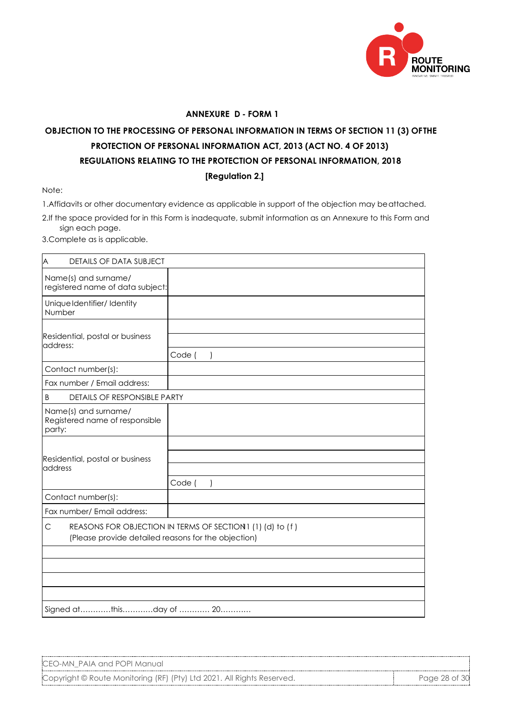

#### **ANNEXURE D - FORM 1**

# **OBJECTION TO THE PROCESSING OF PERSONAL INFORMATION IN TERMS OF SECTION 11 (3) OF THE PROTECTION OF PERSONAL INFORMATION ACT, 2013 (ACT NO. 4 OF 2013) REGULATIONS RELATING TO THE PROTECTION OF PERSONAL INFORMATION, 2018 [Regulation 2.]**

Note:

1.Affidavits or other documentary evidence as applicable in support of the objection may be attached.

2.If the space provided for in this Form is inadequate, submit information as an Annexure to this Form and sign each page.

3.Complete as is applicable.

| A<br><b>DETAILS OF DATA SUBJECT</b>                                                                                    |        |
|------------------------------------------------------------------------------------------------------------------------|--------|
| Name(s) and surname/<br>registered name of data subject:                                                               |        |
| Unique Identifier/ Identity<br>Number                                                                                  |        |
| Residential, postal or business<br>address:                                                                            | Code ( |
| Contact number(s):                                                                                                     |        |
| Fax number / Email address:                                                                                            |        |
| DETAILS OF RESPONSIBLE PARTY<br>B                                                                                      |        |
| Name(s) and surname/<br>Registered name of responsible<br>party:                                                       |        |
| Residential, postal or business<br>address                                                                             | Code ( |
| Contact number(s):                                                                                                     |        |
| Fax number/ Email address:                                                                                             |        |
| REASONS FOR OBJECTION IN TERMS OF SECTION 1 (1) (d) to (f)<br>C<br>(Please provide detailed reasons for the objection) |        |
|                                                                                                                        |        |
|                                                                                                                        |        |
|                                                                                                                        |        |
| Signed atthisday of  20                                                                                                |        |

CEO-MN\_PAIA and POPI Manual

Copyright © Route Monitoring (RF) (Pty) Ltd 2021. All Rights Reserved. Page 28 of 30 Page 28 of 30 Page 28 of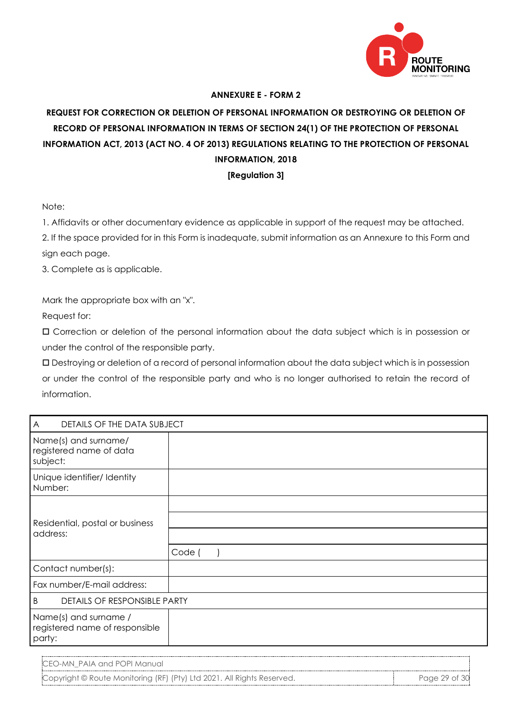

#### **ANNEXURE E - FORM 2**

# **REQUEST FOR CORRECTION OR DELETION OF PERSONAL INFORMATION OR DESTROYING OR DELETION OF RECORD OF PERSONAL INFORMATION IN TERMS OF SECTION 24(1) OF THE PROTECTION OF PERSONAL INFORMATION ACT, 2013 (ACT NO. 4 OF 2013) REGULATIONS RELATING TO THE PROTECTION OF PERSONAL INFORMATION, 2018**

#### **[Regulation 3]**

Note:

1. Affidavits or other documentary evidence as applicable in support of the request may be attached.

2. If the space provided for in this Form is inadequate, submit information as an Annexure to this Form and sign each page.

3. Complete as is applicable.

Mark the appropriate box with an "x".

Request for:

 Correction or deletion of the personal information about the data subject which is in possession or under the control of the responsible party.

 Destroying or deletion of a record of personal information about the data subject which is in possession or under the control of the responsible party and who is no longer authorised to retain the record of information.

| DETAILS OF THE DATA SUBJECT<br>A                                  |        |
|-------------------------------------------------------------------|--------|
| Name(s) and surname/<br>registered name of data<br>subject:       |        |
| Unique identifier/ Identity<br>Number:                            |        |
| Residential, postal or business<br>address:                       |        |
|                                                                   |        |
|                                                                   |        |
|                                                                   | Code ( |
| Contact number(s):                                                |        |
| Fax number/E-mail address:                                        |        |
| DETAILS OF RESPONSIBLE PARTY<br>B                                 |        |
| Name(s) and surname /<br>registered name of responsible<br>party: |        |

CEO-MN\_PAIA and POPI Manual

Copyright © Route Monitoring (RF) (Pty) Ltd 2021. All Rights Reserved. Page 29 of 30